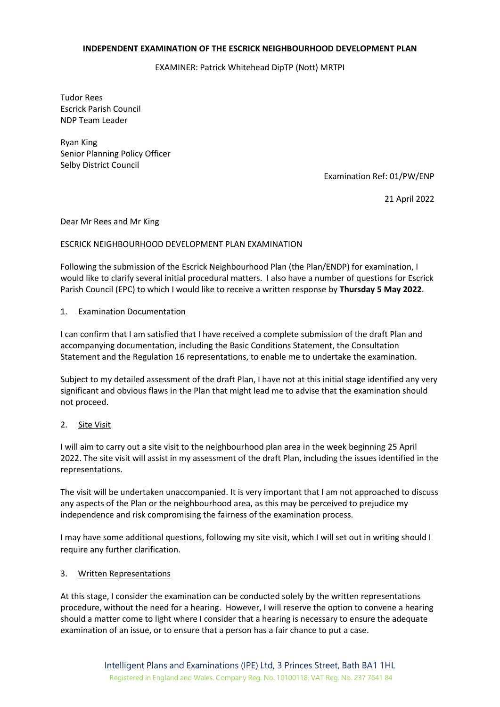#### **INDEPENDENT EXAMINATION OF THE ESCRICK NEIGHBOURHOOD DEVELOPMENT PLAN**

EXAMINER: Patrick Whitehead DipTP (Nott) MRTPI

Tudor Rees Escrick Parish Council NDP Team Leader

Ryan King Senior Planning Policy Officer Selby District Council

Examination Ref: 01/PW/ENP

21 April 2022

Dear Mr Rees and Mr King

#### ESCRICK NEIGHBOURHOOD DEVELOPMENT PLAN EXAMINATION

Following the submission of the Escrick Neighbourhood Plan (the Plan/ENDP) for examination, I would like to clarify several initial procedural matters. I also have a number of questions for Escrick Parish Council (EPC) to which I would like to receive a written response by **Thursday 5 May 2022**.

#### 1. Examination Documentation

I can confirm that I am satisfied that I have received a complete submission of the draft Plan and accompanying documentation, including the Basic Conditions Statement, the Consultation Statement and the Regulation 16 representations, to enable me to undertake the examination.

Subject to my detailed assessment of the draft Plan, I have not at this initial stage identified any very significant and obvious flaws in the Plan that might lead me to advise that the examination should not proceed.

## 2. Site Visit

I will aim to carry out a site visit to the neighbourhood plan area in the week beginning 25 April 2022. The site visit will assist in my assessment of the draft Plan, including the issues identified in the representations.

The visit will be undertaken unaccompanied. It is very important that I am not approached to discuss any aspects of the Plan or the neighbourhood area, as this may be perceived to prejudice my independence and risk compromising the fairness of the examination process.

I may have some additional questions, following my site visit, which I will set out in writing should I require any further clarification.

## 3. Written Representations

At this stage, I consider the examination can be conducted solely by the written representations procedure, without the need for a hearing. However, I will reserve the option to convene a hearing should a matter come to light where I consider that a hearing is necessary to ensure the adequate examination of an issue, or to ensure that a person has a fair chance to put a case.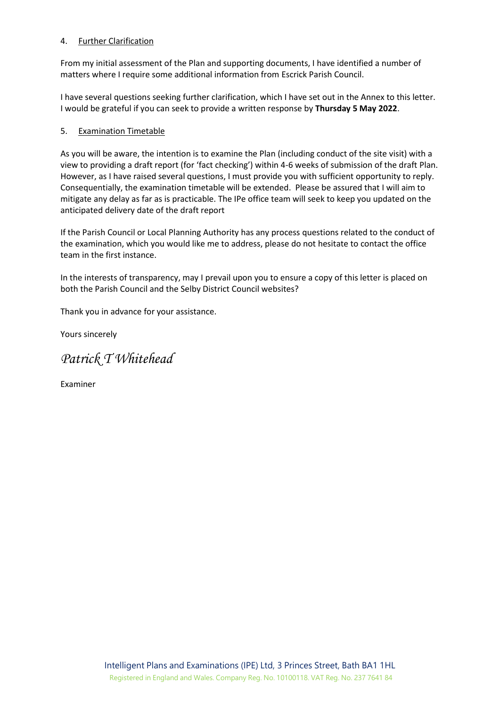## 4. Further Clarification

From my initial assessment of the Plan and supporting documents, I have identified a number of matters where I require some additional information from Escrick Parish Council.

I have several questions seeking further clarification, which I have set out in the Annex to this letter. I would be grateful if you can seek to provide a written response by **Thursday 5 May 2022**.

# 5. Examination Timetable

As you will be aware, the intention is to examine the Plan (including conduct of the site visit) with a view to providing a draft report (for 'fact checking') within 4-6 weeks of submission of the draft Plan. However, as I have raised several questions, I must provide you with sufficient opportunity to reply. Consequentially, the examination timetable will be extended. Please be assured that I will aim to mitigate any delay as far as is practicable. The IPe office team will seek to keep you updated on the anticipated delivery date of the draft report

If the Parish Council or Local Planning Authority has any process questions related to the conduct of the examination, which you would like me to address, please do not hesitate to contact the office team in the first instance.

In the interests of transparency, may I prevail upon you to ensure a copy of this letter is placed on both the Parish Council and the Selby District Council websites?

Thank you in advance for your assistance.

Yours sincerely

# *Patrick T Whitehead*

Examiner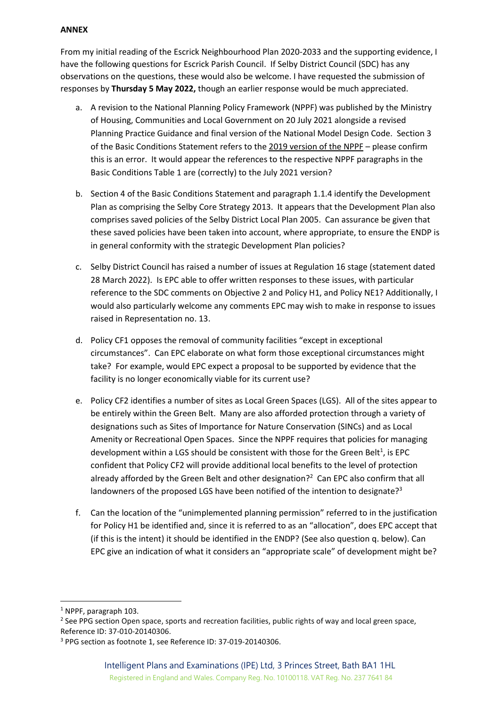# **ANNEX**

From my initial reading of the Escrick Neighbourhood Plan 2020-2033 and the supporting evidence, I have the following questions for Escrick Parish Council. If Selby District Council (SDC) has any observations on the questions, these would also be welcome. I have requested the submission of responses by **Thursday 5 May 2022,** though an earlier response would be much appreciated.

- a. A revision to the National Planning Policy Framework (NPPF) was published by the Ministry of Housing, Communities and Local Government on 20 July 2021 alongside a revised Planning Practice Guidance and final version of the National Model Design Code. Section 3 of the Basic Conditions Statement refers to the 2019 version of the NPPF – please confirm this is an error. It would appear the references to the respective NPPF paragraphs in the Basic Conditions Table 1 are (correctly) to the July 2021 version?
- b. Section 4 of the Basic Conditions Statement and paragraph 1.1.4 identify the Development Plan as comprising the Selby Core Strategy 2013. It appears that the Development Plan also comprises saved policies of the Selby District Local Plan 2005. Can assurance be given that these saved policies have been taken into account, where appropriate, to ensure the ENDP is in general conformity with the strategic Development Plan policies?
- c. Selby District Council has raised a number of issues at Regulation 16 stage (statement dated 28 March 2022). Is EPC able to offer written responses to these issues, with particular reference to the SDC comments on Objective 2 and Policy H1, and Policy NE1? Additionally, I would also particularly welcome any comments EPC may wish to make in response to issues raised in Representation no. 13.
- d. Policy CF1 opposes the removal of community facilities "except in exceptional circumstances". Can EPC elaborate on what form those exceptional circumstances might take? For example, would EPC expect a proposal to be supported by evidence that the facility is no longer economically viable for its current use?
- e. Policy CF2 identifies a number of sites as Local Green Spaces (LGS). All of the sites appear to be entirely within the Green Belt. Many are also afforded protection through a variety of designations such as Sites of Importance for Nature Conservation (SINCs) and as Local Amenity or Recreational Open Spaces. Since the NPPF requires that policies for managing development within a LGS should be consistent with those for the Green Belt<sup>1</sup>, is EPC confident that Policy CF2 will provide additional local benefits to the level of protection already afforded by the Green Belt and other designation?<sup>2</sup> Can EPC also confirm that all landowners of the proposed LGS have been notified of the intention to designate?<sup>3</sup>
- f. Can the location of the "unimplemented planning permission" referred to in the justification for Policy H1 be identified and, since it is referred to as an "allocation", does EPC accept that (if this is the intent) it should be identified in the ENDP? (See also question q. below). Can EPC give an indication of what it considers an "appropriate scale" of development might be?

<sup>1</sup> NPPF, paragraph 103.

<sup>&</sup>lt;sup>2</sup> See PPG section Open space, sports and recreation facilities, public rights of way and local green space, Reference ID: 37-010-20140306.

<sup>3</sup> PPG section as footnote 1, see Reference ID: 37-019-20140306.